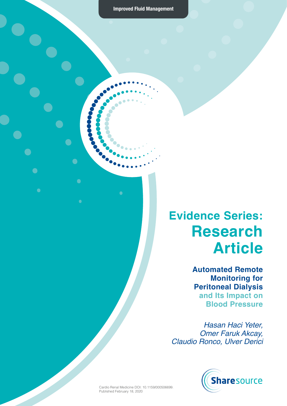$\geq$ 

 $\bullet$ 

 $\bullet$ 

 $\bullet$ 

 $\bigodot$ 

 $\bullet$ 

 $\bullet$ 

### **Evidence Series: Research Article**

**Automated Remote Monitoring for Peritoneal Dialysis and Its Impact on Blood Pressure** 

*Hasan Haci Yeter, Omer Faruk Akcay, Claudio Ronco, Ulver Derici* 



Cardio Renal Medicine DOI: 10.1159/000506699. Published February 18, 2020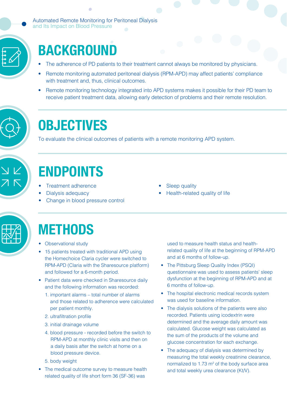Automated Remote Monitoring for Peritoneal Dialysis and Its Impact on Blood Pressure



# **BACKGROUND**

- The adherence of PD patients to their treatment cannot always be monitored by physicians.
- Remote monitoring automated peritoneal dialysis (RPM-APD) may affect patients' compliance with treatment and, thus, clinical outcomes.
- Remote monitoring technology integrated into APD systems makes it possible for their PD team to receive patient treatment data, allowing early detection of problems and their remote resolution.



## **OBJECTIVES**

To evaluate the clinical outcomes of patients with a remote monitoring APD system.



# **ENDPOINTS**

- Treatment adherence
- Dialysis adequacy
- Change in blood pressure control
- Sleep quality
- Health-related quality of life



## **METHODS**

- Observational study
- 15 patients treated with traditional APD using the Homechoice Claria cycler were switched to RPM-APD (Claria with the Sharesource platform) and followed for a 6-month period.
- Patient data were checked in Sharesource daily and the following information was recorded:
	- 1. important alarms total number of alarms and those related to adherence were calculated per patient monthly.
	- 2. ultrafiltration profile
	- 3. initial drainage volume
	- 4. blood pressure recorded before the switch to RPM-APD at monthly clinic visits and then on a daily basis after the switch at home on a blood pressure device.
	- 5. body weight
- The medical outcome survey to measure health related quality of life short form 36 (SF-36) was

used to measure health status and healthrelated quality of life at the beginning of RPM-APD and at 6 months of follow-up.

- The Pittsburg Sleep Quality Index (PSQI) questionnaire was used to assess patients' sleep dysfunction at the beginning of RPM-APD and at 6 months of follow-up.
- The hospital electronic medical records system was used for baseline information.
- The dialysis solutions of the patients were also recorded. Patients using icodextrin were determined and the average daily amount was calculated. Glucose weight was calculated as the sum of the products of the volume and glucose concentration for each exchange.
- The adequacy of dialysis was determined by measuring the total weekly creatinine clearance, normalized to  $1.73 \text{ m}^2$  of the body surface area and total weekly urea clearance (Kt/V).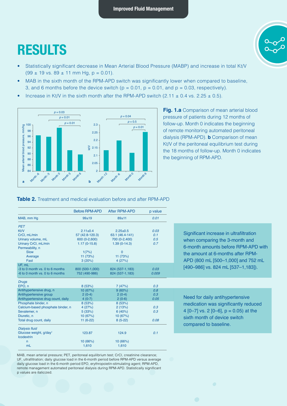### **RESULTS**

- Statistically significant decrease in Mean Arterial Blood Pressure (MABP) and increase in total Kt/V  $(99 \pm 19 \text{ vs. } 89 \pm 11 \text{ mm Hg}, p = 0.01)$ .
- MAB in the sixth month of the RPM-APD switch was significantly lower when compared to baseline, 3, and 6 months before the device switch ( $p = 0.01$ ,  $p = 0.01$ , and  $p = 0.03$ , respectively).
- Increase in Kt/V in the sixth month after the RPM-APD switch  $(2.11 \pm 0.4 \text{ vs. } 2.25 \pm 0.5)$ .



**Fig. 1.a** Comparison of mean arterial blood pressure of patients during 12 months of follow-up. Month 0 indicates the beginning of remote monitoring automated peritoneal dialysis (RPM-APD). **b** Comparison of mean Kt/V of the peritoneal equilibrium test during the 18 months of follow-up. Month 0 indicates the beginning of RPM-APD.

#### **Table 2.** Treatment and medical evaluation before and after RPM-APD

|                                                         | <b>Before RPM-APD</b> | After RPM-APD   | p value |
|---------------------------------------------------------|-----------------------|-----------------|---------|
| MAB, mm Hg                                              | $99 + 19$             | $89 + 11$       | 0.01    |
| PET                                                     |                       |                 |         |
| Kt/V                                                    | $2.11 \pm 0.4$        | $2.25+0.5$      | 0.03    |
| CrCl, mL/min                                            | 57 (42.8-120.3)       | 63.1 (46.4-141) | 0.1     |
| Urinary volume, mL                                      | 600 (0-2,600)         | 700 (0-2,400)   | 0.5     |
| Urinary CrCl, mL/min<br>Permeability, n                 | $1.17(0-15.8)$        | $1.39(0-14.3)$  | 0.7     |
| Slow                                                    | 1(7%)                 | $\mathbf{0}$    |         |
| Average                                                 | 11 (73%)              | 11 (73%)        |         |
| Fast                                                    | 3(20%)                | 4(27%)          |         |
| UF. mL                                                  |                       |                 |         |
| -3 to 0 month vs. 0 to 6 months                         | 800 (500-1,000)       | 824 (537-1,183) | 0.03    |
| -6 to 0 month vs. 0 to 6 months                         | 752 (490-986)         | 824 (537-1,183) | 0.009   |
|                                                         |                       |                 |         |
| <b>Drugs</b>                                            |                       |                 |         |
| EPO, n                                                  | 8 (53%)               | 7(47%)          | 0.3     |
| Antihypertensive drug, n                                | 10 (67%)              | 9(60%)          | 0.8     |
| Antihypertensive group                                  | $2(0-4)$              | $2(0-4)$        | 0.3     |
| Antihypertensive drug count, daily                      | $4(0-7)$              | $2(0-6)$        | 0.05    |
| Phosphate binder, n                                     | 8(53%)                | 8(53%)          |         |
| Calcium-based phosphate binder, n                       | 4(27%)                | 2(13%)          | 0.3     |
| Sevalemer, n                                            | 5(33%)                | 6(40%)          | 0.3     |
| Diuretic, n                                             | 10 (67%)              | 10 (67%)        |         |
| Total drug count, daily                                 | $11(6-22)$            | $8(5-22)$       | 0.08    |
| <b>Dialysis fluid</b>                                   |                       |                 |         |
| Glucose weight, g/day <sup>1</sup><br><b>Icodextrin</b> | 123.87                | 124.9           | 0.1     |
| n                                                       | 10 (66%)              | 10 (66%)        |         |
| mL                                                      | 1,610                 | 1,610           |         |
|                                                         |                       |                 |         |

MAB, mean arterial pressure; PET, peritoneal equilibrium test; CrCl, creatinine clearance; UF, ultrafiltration; daily glucose load in the 6-month period before RPM-APD versus average daily glucose load in the 6-month period EPO, erythropoietin-stimulating agent; RPM-APD, remote management automated peritoneal dialysis during RPM-APD. Statistically significant p values are italicized.

 Significant increase in ultrafiltration when comparing the 3-month and 6-month amounts before RPM-APD with the amount at 6-months after RPM-APD (800 mL [500–1,000] and 752 mL [490–986] vs. 824 mL [537–1,183]).

Need for daily antihypertensive medication was significantly reduced 4  $[0-7]$  vs. 2  $[0-6]$ ,  $p = 0.05$ ) at the sixth month of device switch compared to baseline.